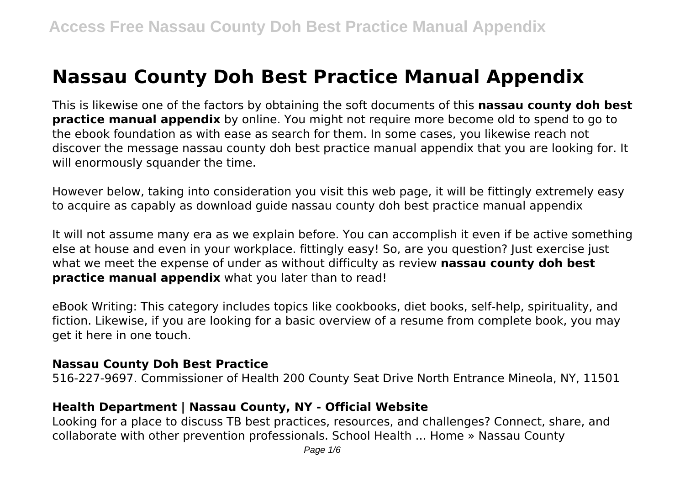# **Nassau County Doh Best Practice Manual Appendix**

This is likewise one of the factors by obtaining the soft documents of this **nassau county doh best practice manual appendix** by online. You might not require more become old to spend to go to the ebook foundation as with ease as search for them. In some cases, you likewise reach not discover the message nassau county doh best practice manual appendix that you are looking for. It will enormously squander the time.

However below, taking into consideration you visit this web page, it will be fittingly extremely easy to acquire as capably as download guide nassau county doh best practice manual appendix

It will not assume many era as we explain before. You can accomplish it even if be active something else at house and even in your workplace. fittingly easy! So, are you question? Just exercise just what we meet the expense of under as without difficulty as review **nassau county doh best practice manual appendix** what you later than to read!

eBook Writing: This category includes topics like cookbooks, diet books, self-help, spirituality, and fiction. Likewise, if you are looking for a basic overview of a resume from complete book, you may get it here in one touch.

#### **Nassau County Doh Best Practice**

516-227-9697. Commissioner of Health 200 County Seat Drive North Entrance Mineola, NY, 11501

### **Health Department | Nassau County, NY - Official Website**

Looking for a place to discuss TB best practices, resources, and challenges? Connect, share, and collaborate with other prevention professionals. School Health ... Home » Nassau County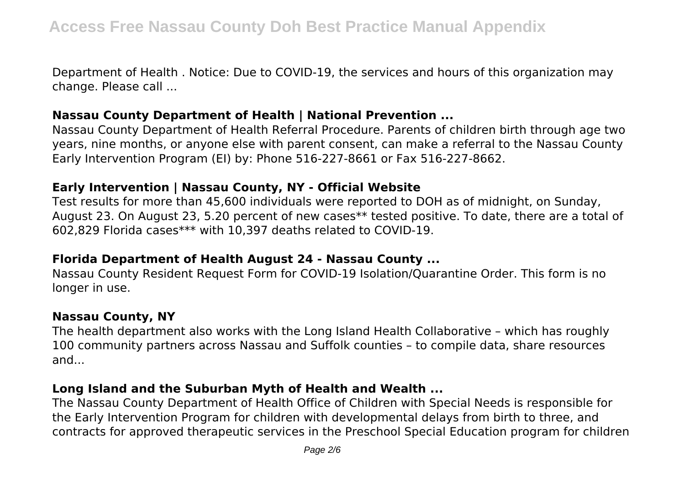Department of Health . Notice: Due to COVID-19, the services and hours of this organization may change. Please call ...

#### **Nassau County Department of Health | National Prevention ...**

Nassau County Department of Health Referral Procedure. Parents of children birth through age two years, nine months, or anyone else with parent consent, can make a referral to the Nassau County Early Intervention Program (EI) by: Phone 516-227-8661 or Fax 516-227-8662.

### **Early Intervention | Nassau County, NY - Official Website**

Test results for more than 45,600 individuals were reported to DOH as of midnight, on Sunday, August 23. On August 23, 5.20 percent of new cases\*\* tested positive. To date, there are a total of 602,829 Florida cases\*\*\* with 10,397 deaths related to COVID-19.

#### **Florida Department of Health August 24 - Nassau County ...**

Nassau County Resident Request Form for COVID-19 Isolation/Quarantine Order. This form is no longer in use.

### **Nassau County, NY**

The health department also works with the Long Island Health Collaborative – which has roughly 100 community partners across Nassau and Suffolk counties – to compile data, share resources and...

### **Long Island and the Suburban Myth of Health and Wealth ...**

The Nassau County Department of Health Office of Children with Special Needs is responsible for the Early Intervention Program for children with developmental delays from birth to three, and contracts for approved therapeutic services in the Preschool Special Education program for children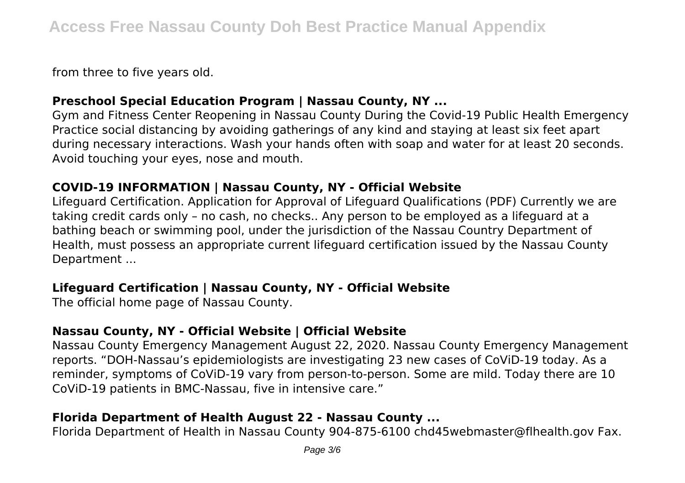from three to five years old.

## **Preschool Special Education Program | Nassau County, NY ...**

Gym and Fitness Center Reopening in Nassau County During the Covid-19 Public Health Emergency Practice social distancing by avoiding gatherings of any kind and staying at least six feet apart during necessary interactions. Wash your hands often with soap and water for at least 20 seconds. Avoid touching your eyes, nose and mouth.

## **COVID-19 INFORMATION | Nassau County, NY - Official Website**

Lifeguard Certification. Application for Approval of Lifeguard Qualifications (PDF) Currently we are taking credit cards only – no cash, no checks.. Any person to be employed as a lifeguard at a bathing beach or swimming pool, under the jurisdiction of the Nassau Country Department of Health, must possess an appropriate current lifeguard certification issued by the Nassau County Department ...

## **Lifeguard Certification | Nassau County, NY - Official Website**

The official home page of Nassau County.

## **Nassau County, NY - Official Website | Official Website**

Nassau County Emergency Management August 22, 2020. Nassau County Emergency Management reports. "DOH-Nassau's epidemiologists are investigating 23 new cases of CoViD-19 today. As a reminder, symptoms of CoViD-19 vary from person-to-person. Some are mild. Today there are 10 CoViD-19 patients in BMC-Nassau, five in intensive care."

## **Florida Department of Health August 22 - Nassau County ...**

Florida Department of Health in Nassau County 904-875-6100 chd45webmaster@flhealth.gov Fax.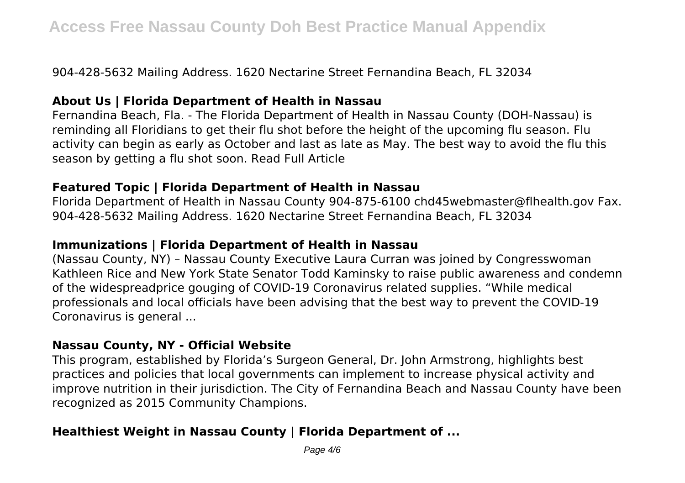904-428-5632 Mailing Address. 1620 Nectarine Street Fernandina Beach, FL 32034

## **About Us | Florida Department of Health in Nassau**

Fernandina Beach, Fla. - The Florida Department of Health in Nassau County (DOH-Nassau) is reminding all Floridians to get their flu shot before the height of the upcoming flu season. Flu activity can begin as early as October and last as late as May. The best way to avoid the flu this season by getting a flu shot soon. Read Full Article

## **Featured Topic | Florida Department of Health in Nassau**

Florida Department of Health in Nassau County 904-875-6100 chd45webmaster@flhealth.gov Fax. 904-428-5632 Mailing Address. 1620 Nectarine Street Fernandina Beach, FL 32034

## **Immunizations | Florida Department of Health in Nassau**

(Nassau County, NY) – Nassau County Executive Laura Curran was joined by Congresswoman Kathleen Rice and New York State Senator Todd Kaminsky to raise public awareness and condemn of the widespreadprice gouging of COVID-19 Coronavirus related supplies. "While medical professionals and local officials have been advising that the best way to prevent the COVID-19 Coronavirus is general ...

## **Nassau County, NY - Official Website**

This program, established by Florida's Surgeon General, Dr. John Armstrong, highlights best practices and policies that local governments can implement to increase physical activity and improve nutrition in their jurisdiction. The City of Fernandina Beach and Nassau County have been recognized as 2015 Community Champions.

## **Healthiest Weight in Nassau County | Florida Department of ...**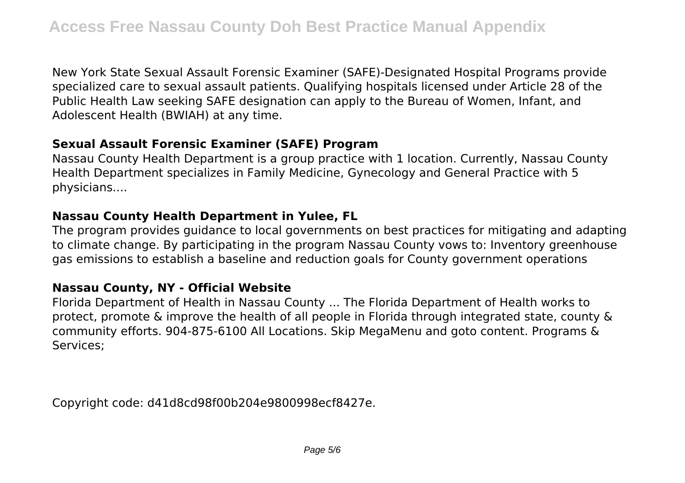New York State Sexual Assault Forensic Examiner (SAFE)-Designated Hospital Programs provide specialized care to sexual assault patients. Qualifying hospitals licensed under Article 28 of the Public Health Law seeking SAFE designation can apply to the Bureau of Women, Infant, and Adolescent Health (BWIAH) at any time.

## **Sexual Assault Forensic Examiner (SAFE) Program**

Nassau County Health Department is a group practice with 1 location. Currently, Nassau County Health Department specializes in Family Medicine, Gynecology and General Practice with 5 physicians....

### **Nassau County Health Department in Yulee, FL**

The program provides guidance to local governments on best practices for mitigating and adapting to climate change. By participating in the program Nassau County vows to: Inventory greenhouse gas emissions to establish a baseline and reduction goals for County government operations

### **Nassau County, NY - Official Website**

Florida Department of Health in Nassau County ... The Florida Department of Health works to protect, promote & improve the health of all people in Florida through integrated state, county & community efforts. 904-875-6100 All Locations. Skip MegaMenu and goto content. Programs & Services;

Copyright code: d41d8cd98f00b204e9800998ecf8427e.